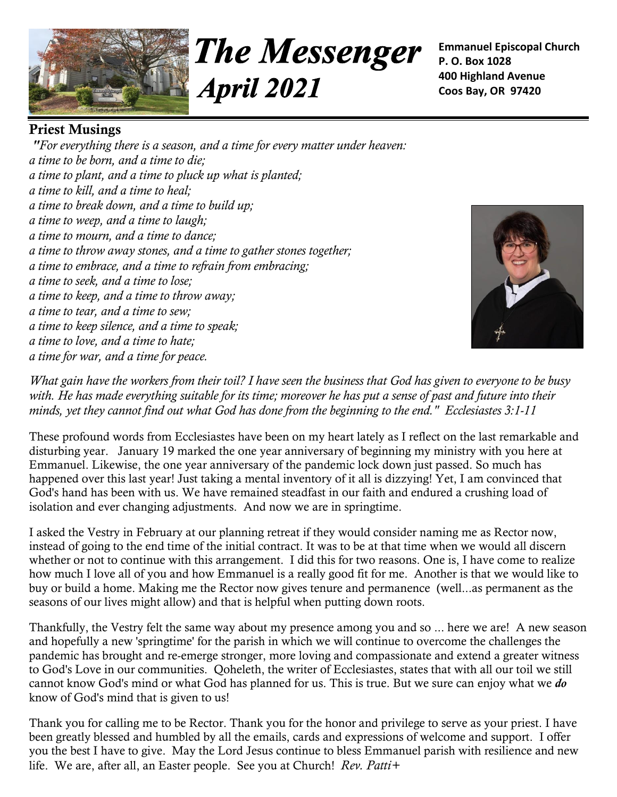

**The Messenger April 2021** 

**Emmanuel Episcopal Church P. O. Box 1028 400 Highland Avenue Coos Bay, OR 97420**

# **Priest Musings**

*"For everything there is a season, and a time for every matter under heaven: a time to be born, and a time to die; a time to plant, and a time to pluck up what is planted; a time to kill, and a time to heal; a time to break down, and a time to build up; a time to weep, and a time to laugh; a time to mourn, and a time to dance; a time to throw away stones, and a time to gather stones together; a time to embrace, and a time to refrain from embracing; a time to seek, and a time to lose; a time to keep, and a time to throw away; a time to tear, and a time to sew; a time to keep silence, and a time to speak; a time to love, and a time to hate; a time for war, and a time for peace.*



*What gain have the workers from their toil? I have seen the business that God has given to everyone to be busy with. He has made everything suitable for its time; moreover he has put a sense of past and future into their minds, yet they cannot find out what God has done from the beginning to the end." Ecclesiastes 3:1-11*

These profound words from Ecclesiastes have been on my heart lately as I reflect on the last remarkable and disturbing year. January 19 marked the one year anniversary of beginning my ministry with you here at Emmanuel. Likewise, the one year anniversary of the pandemic lock down just passed. So much has happened over this last year! Just taking a mental inventory of it all is dizzying! Yet, I am convinced that God's hand has been with us. We have remained steadfast in our faith and endured a crushing load of isolation and ever changing adjustments. And now we are in springtime.

I asked the Vestry in February at our planning retreat if they would consider naming me as Rector now, instead of going to the end time of the initial contract. It was to be at that time when we would all discern whether or not to continue with this arrangement. I did this for two reasons. One is, I have come to realize how much I love all of you and how Emmanuel is a really good fit for me. Another is that we would like to buy or build a home. Making me the Rector now gives tenure and permanence (well...as permanent as the seasons of our lives might allow) and that is helpful when putting down roots.

Thankfully, the Vestry felt the same way about my presence among you and so ... here we are! A new season and hopefully a new 'springtime' for the parish in which we will continue to overcome the challenges the pandemic has brought and re-emerge stronger, more loving and compassionate and extend a greater witness to God's Love in our communities. Qoheleth, the writer of Ecclesiastes, states that with all our toil we still cannot know God's mind or what God has planned for us. This is true. But we sure can enjoy what we *do* know of God's mind that is given to us!

Thank you for calling me to be Rector. Thank you for the honor and privilege to serve as your priest. I have been greatly blessed and humbled by all the emails, cards and expressions of welcome and support. I offer you the best I have to give. May the Lord Jesus continue to bless Emmanuel parish with resilience and new life. We are, after all, an Easter people. See you at Church! *Rev. Patti+*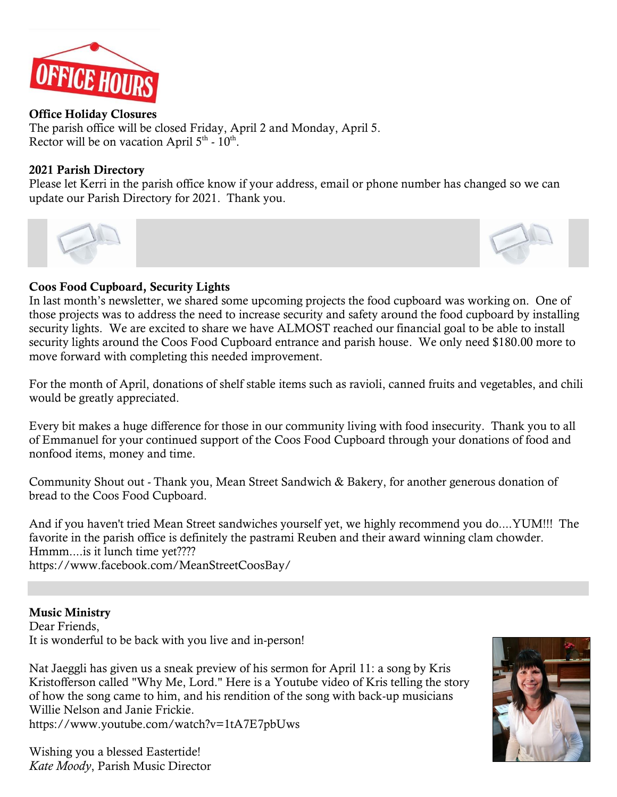

### **Office Holiday Closures**

The parish office will be closed Friday, April 2 and Monday, April 5. Rector will be on vacation April  $5<sup>th</sup>$  -  $10<sup>th</sup>$ .

### **2021 Parish Directory**

Please let Kerri in the parish office know if your address, email or phone number has changed so we can update our Parish Directory for 2021. Thank you.



## **Coos Food Cupboard, Security Lights**

In last month's newsletter, we shared some upcoming projects the food cupboard was working on. One of those projects was to address the need to increase security and safety around the food cupboard by installing security lights. We are excited to share we have ALMOST reached our financial goal to be able to install security lights around the Coos Food Cupboard entrance and parish house. We only need \$180.00 more to move forward with completing this needed improvement.

For the month of April, donations of shelf stable items such as ravioli, canned fruits and vegetables, and chili would be greatly appreciated.

Every bit makes a huge difference for those in our community living with food insecurity. Thank you to all of Emmanuel for your continued support of the Coos Food Cupboard through your donations of food and nonfood items, money and time.

Community Shout out - Thank you, Mean Street Sandwich & Bakery, for another generous donation of bread to the Coos Food Cupboard.

And if you haven't tried Mean Street sandwiches yourself yet, we highly recommend you do....YUM!!! The favorite in the parish office is definitely the pastrami Reuben and their award winning clam chowder. Hmmm....is it lunch time yet???? <https://www.facebook.com/MeanStreetCoosBay/>

## **Music Ministry**

Dear Friends, It is wonderful to be back with you live and in-person!

Nat Jaeggli has given us a sneak preview of his sermon for April 11: a song by Kris Kristofferson called "Why Me, Lord." Here is a Youtube video of Kris telling the story of how the song came to him, and his rendition of the song with back-up musicians Willie Nelson and Janie Frickie.

<https://www.youtube.com/watch?v=1tA7E7pbUws>

Wishing you a blessed Eastertide! *Kate Moody*, Parish Music Director

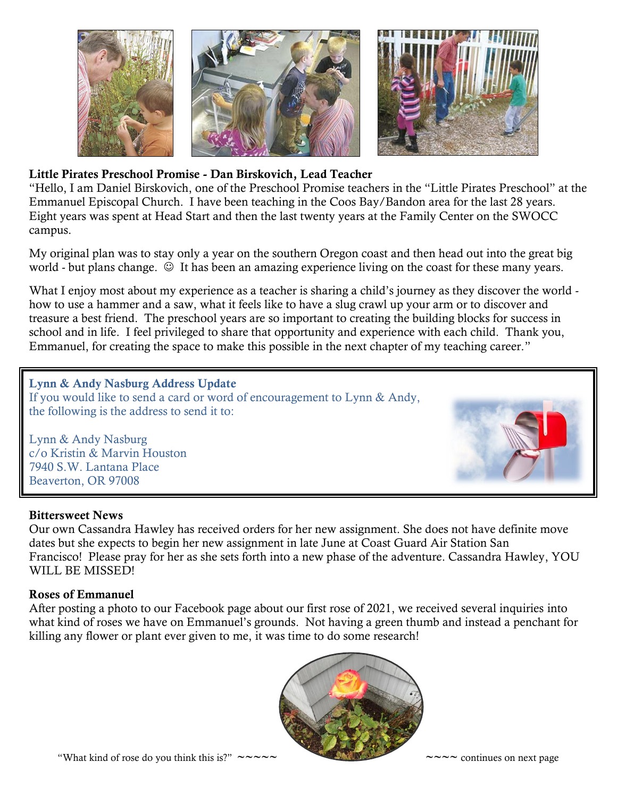

# **Little Pirates Preschool Promise - Dan Birskovich, Lead Teacher**

"Hello, I am Daniel Birskovich, one of the Preschool Promise teachers in the "Little Pirates Preschool" at the Emmanuel Episcopal Church. I have been teaching in the Coos Bay/Bandon area for the last 28 years. Eight years was spent at Head Start and then the last twenty years at the Family Center on the SWOCC campus.

My original plan was to stay only a year on the southern Oregon coast and then head out into the great big world - but plans change.  $\odot$  It has been an amazing experience living on the coast for these many years.

What I enjoy most about my experience as a teacher is sharing a child's journey as they discover the world how to use a hammer and a saw, what it feels like to have a slug crawl up your arm or to discover and treasure a best friend. The preschool years are so important to creating the building blocks for success in school and in life. I feel privileged to share that opportunity and experience with each child. Thank you, Emmanuel, for creating the space to make this possible in the next chapter of my teaching career."

**Lynn & Andy Nasburg Address Update** If you would like to send a card or word of encouragement to Lynn & Andy, the following is the address to send it to:

Lynn & Andy Nasburg c/o Kristin & Marvin Houston 7940 S.W. Lantana Place Beaverton, OR 97008



### **Bittersweet News**

Our own Cassandra Hawley has received orders for her new assignment. She does not have definite move dates but she expects to begin her new assignment in late June at Coast Guard Air Station San Francisco! Please pray for her as she sets forth into a new phase of the adventure. Cassandra Hawley, YOU WILL BE MISSED!

#### **Roses of Emmanuel**

After posting a photo to our Facebook page about our first rose of 2021, we received several inquiries into what kind of roses we have on Emmanuel's grounds. Not having a green thumb and instead a penchant for killing any flower or plant ever given to me, it was time to do some research!